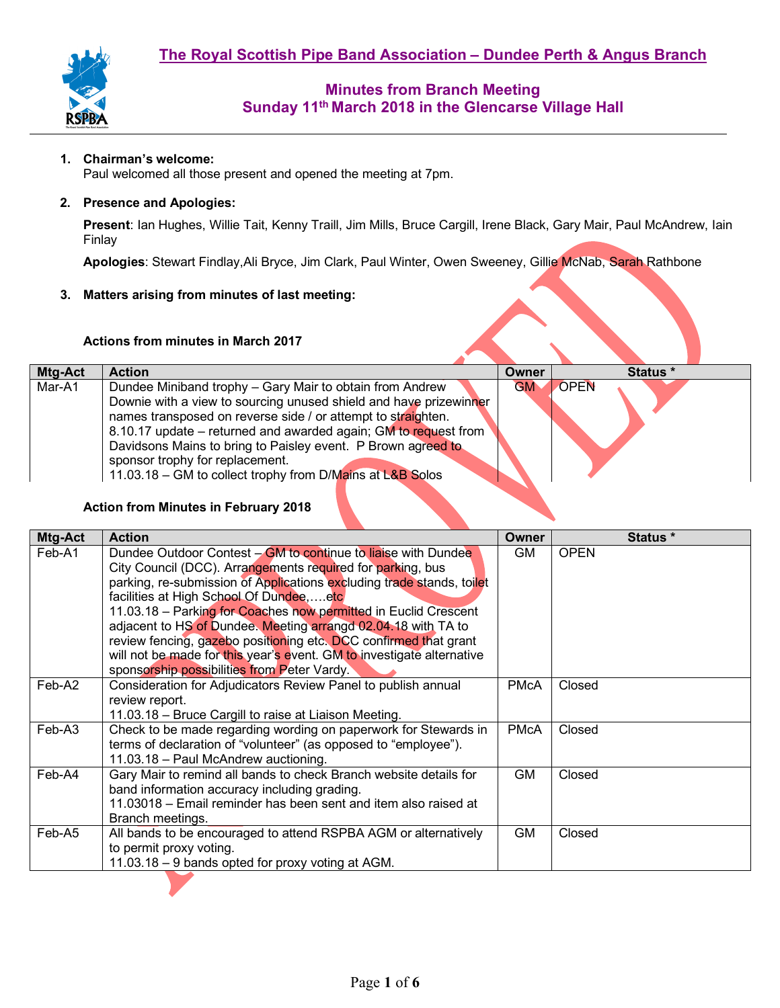

#### **1. Chairman's welcome:**

Paul welcomed all those present and opened the meeting at 7pm.

#### **2. Presence and Apologies:**

**Present**: Ian Hughes, Willie Tait, Kenny Traill, Jim Mills, Bruce Cargill, Irene Black, Gary Mair, Paul McAndrew, Iain Finlay

**Apologies**: Stewart Findlay,Ali Bryce, Jim Clark, Paul Winter, Owen Sweeney, Gillie McNab, Sarah Rathbone

#### **3. Matters arising from minutes of last meeting:**

#### **Actions from minutes in March 2017**

| Mtg-Act | <b>Action</b>                                                                                                                                                                                                                                                                                                                                                                                                                    | Owner     | Status *    |
|---------|----------------------------------------------------------------------------------------------------------------------------------------------------------------------------------------------------------------------------------------------------------------------------------------------------------------------------------------------------------------------------------------------------------------------------------|-----------|-------------|
| Mar-A1  | Dundee Miniband trophy - Gary Mair to obtain from Andrew<br>Downie with a view to sourcing unused shield and have prizewinner<br>names transposed on reverse side / or attempt to straighten.<br>8.10.17 update – returned and awarded again; GM to request from<br>Davidsons Mains to bring to Paisley event. P Brown agreed to<br>sponsor trophy for replacement.<br>11.03.18 – GM to collect trophy from D/Mains at L&B Solos | <b>GM</b> | <b>OPEN</b> |

#### **Action from Minutes in February 2018**

| Mtg-Act | <b>Action</b>                                                                                                                                                                                                                                                                                                                                                                                                                                                                                                                                                                  | Owner       | Status *    |
|---------|--------------------------------------------------------------------------------------------------------------------------------------------------------------------------------------------------------------------------------------------------------------------------------------------------------------------------------------------------------------------------------------------------------------------------------------------------------------------------------------------------------------------------------------------------------------------------------|-------------|-------------|
| Feb-A1  | Dundee Outdoor Contest – GM to continue to liaise with Dundee<br>City Council (DCC). Arrangements required for parking, bus<br>parking, re-submission of Applications excluding trade stands, toilet<br>facilities at High School Of Dundeeetc<br>11.03.18 – Parking for Coaches now permitted in Euclid Crescent<br>adjacent to HS of Dundee. Meeting arrangd 02.04.18 with TA to<br>review fencing, gazebo positioning etc. DCC confirmed that grant<br>will not be made for this year's event. GM to investigate alternative<br>sponsorship possibilities from Peter Vardy. | GM          | <b>OPEN</b> |
| Feb-A2  | Consideration for Adjudicators Review Panel to publish annual<br>review report.<br>11.03.18 – Bruce Cargill to raise at Liaison Meeting.                                                                                                                                                                                                                                                                                                                                                                                                                                       | <b>PMcA</b> | Closed      |
| Feb-A3  | Check to be made regarding wording on paperwork for Stewards in<br>terms of declaration of "volunteer" (as opposed to "employee").<br>11.03.18 - Paul McAndrew auctioning.                                                                                                                                                                                                                                                                                                                                                                                                     | <b>PMcA</b> | Closed      |
| Feb-A4  | Gary Mair to remind all bands to check Branch website details for<br>band information accuracy including grading.<br>11.03018 – Email reminder has been sent and item also raised at<br>Branch meetings.                                                                                                                                                                                                                                                                                                                                                                       | <b>GM</b>   | Closed      |
| Feb-A5  | All bands to be encouraged to attend RSPBA AGM or alternatively<br>to permit proxy voting.<br>11.03.18 – 9 bands opted for proxy voting at AGM.                                                                                                                                                                                                                                                                                                                                                                                                                                | <b>GM</b>   | Closed      |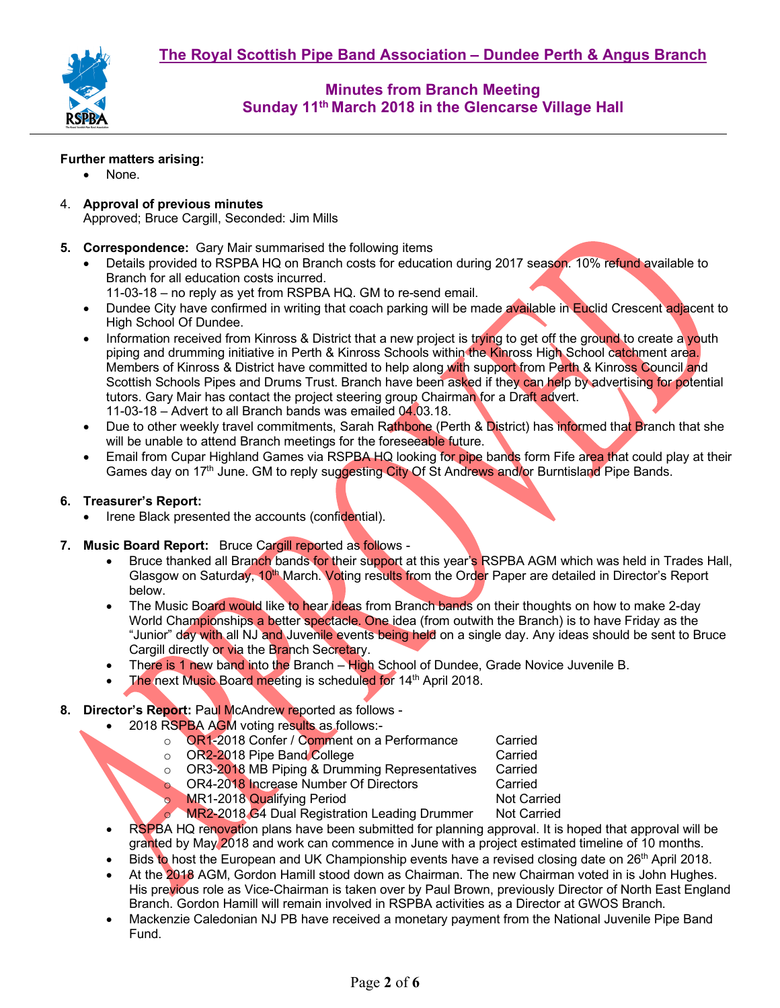

#### **Further matters arising:**

- None.
- 4. **Approval of previous minutes**  Approved; Bruce Cargill, Seconded: Jim Mills
- **5. Correspondence:** Gary Mair summarised the following items
	- Details provided to RSPBA HQ on Branch costs for education during 2017 season. 10% refund available to Branch for all education costs incurred.
		- 11-03-18 no reply as yet from RSPBA HQ. GM to re-send email.
	- Dundee City have confirmed in writing that coach parking will be made available in Euclid Crescent adjacent to High School Of Dundee.
	- Information received from Kinross & District that a new project is trying to get off the ground to create a youth piping and drumming initiative in Perth & Kinross Schools within the Kinross High School catchment area. Members of Kinross & District have committed to help along with support from Perth & Kinross Council and Scottish Schools Pipes and Drums Trust. Branch have been asked if they can help by advertising for potential tutors. Gary Mair has contact the project steering group Chairman for a Draft advert. 11-03-18 – Advert to all Branch bands was emailed 04.03.18.
	- Due to other weekly travel commitments, Sarah Rathbone (Perth & District) has informed that Branch that she will be unable to attend Branch meetings for the foreseeable future.
	- Email from Cupar Highland Games via RSPBA HQ looking for pipe bands form Fife area that could play at their Games day on 17<sup>th</sup> June. GM to reply suggesting City Of St Andrews and/or Burntisland Pipe Bands.

#### **6. Treasurer's Report:**

- Irene Black presented the accounts (confidential).
- **7. Music Board Report:** Bruce Cargill reported as follows
	- Bruce thanked all Branch bands for their support at this year's RSPBA AGM which was held in Trades Hall, Glasgow on Saturday, 10<sup>th</sup> March. Voting results from the Order Paper are detailed in Director's Report below.
	- The Music Board would like to hear ideas from Branch bands on their thoughts on how to make 2-day World Championships a better spectacle. One idea (from outwith the Branch) is to have Friday as the "Junior" day with all NJ and Juvenile events being held on a single day. Any ideas should be sent to Bruce Cargill directly or via the Branch Secretary.
	- There is 1 new band into the Branch High School of Dundee, Grade Novice Juvenile B.
	- The next Music Board meeting is scheduled for 14<sup>th</sup> April 2018.

### **8. Director's Report:** Paul McAndrew reported as follows -

- 2018 RSPBA AGM voting results as follows:
	- o **OR1-2018 Confer / Comment on a Performance** Carried Carried<br>Comment College Context Carried Carried
		-
	- o OR2-2018 Pipe Band College Carried Carried<br>Component Carried Control of DR3-2018 MB Piping & Drumming Representatives Carried o OR3-2018 MB Piping & Drumming Representatives Carried<br>Cors Carried Carried Carried
	- o OR4-2018 Increase Number Of Directors
		-
	- o MR1-2018 Qualifying Period<br>
	MR2-2018 G4 Dual Registration Leading Drummer Not Carried MR2-2018 G4 Dual Registration Leading Drummer
- RSPBA HQ renovation plans have been submitted for planning approval. It is hoped that approval will be granted by May 2018 and work can commence in June with a project estimated timeline of 10 months.
- Bids to host the European and UK Championship events have a revised closing date on 26<sup>th</sup> April 2018.
- At the 2018 AGM, Gordon Hamill stood down as Chairman. The new Chairman voted in is John Hughes. His previous role as Vice-Chairman is taken over by Paul Brown, previously Director of North East England Branch. Gordon Hamill will remain involved in RSPBA activities as a Director at GWOS Branch.
- Mackenzie Caledonian NJ PB have received a monetary payment from the National Juvenile Pipe Band Fund.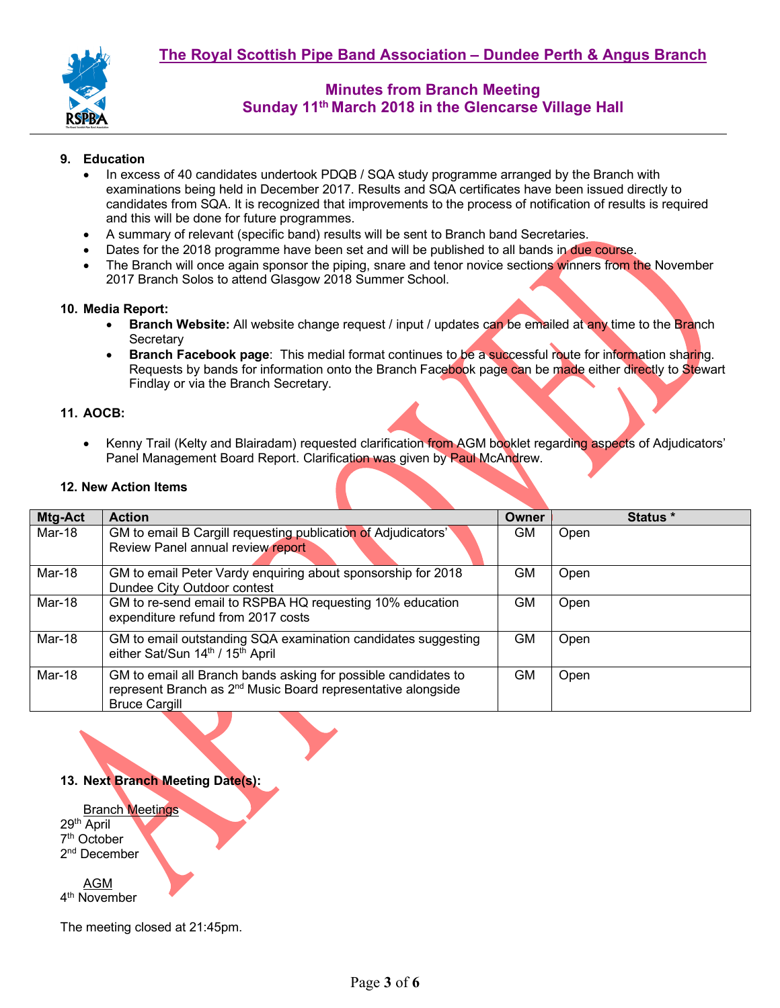

#### **9. Education**

- In excess of 40 candidates undertook PDQB / SQA study programme arranged by the Branch with examinations being held in December 2017. Results and SQA certificates have been issued directly to candidates from SQA. It is recognized that improvements to the process of notification of results is required and this will be done for future programmes.
- A summary of relevant (specific band) results will be sent to Branch band Secretaries.
- Dates for the 2018 programme have been set and will be published to all bands in due course.
- The Branch will once again sponsor the piping, snare and tenor novice sections winners from the November 2017 Branch Solos to attend Glasgow 2018 Summer School.

#### **10. Media Report:**

- **Branch Website:** All website change request / input / updates can be emailed at any time to the Branch **Secretary**
- **Branch Facebook page**: This medial format continues to be a successful route for information sharing. Requests by bands for information onto the Branch Facebook page can be made either directly to Stewart Findlay or via the Branch Secretary.

#### **11. AOCB:**

• Kenny Trail (Kelty and Blairadam) requested clarification from AGM booklet regarding aspects of Adjudicators' Panel Management Board Report. Clarification was given by Paul McAndrew.

#### **12. New Action Items**

| Mtg-Act | <b>Action</b>                                                                                                                                                      | Owner | Status * |
|---------|--------------------------------------------------------------------------------------------------------------------------------------------------------------------|-------|----------|
| Mar-18  | GM to email B Cargill requesting publication of Adjudicators'<br>Review Panel annual review report                                                                 | GM.   | Open     |
| Mar-18  | GM to email Peter Vardy enquiring about sponsorship for 2018<br>Dundee City Outdoor contest                                                                        | GM.   | Open     |
| Mar-18  | GM to re-send email to RSPBA HQ requesting 10% education<br>expenditure refund from 2017 costs                                                                     | GM    | Open     |
| Mar-18  | GM to email outstanding SQA examination candidates suggesting<br>either Sat/Sun 14th / 15th April                                                                  | GM    | Open     |
| Mar-18  | GM to email all Branch bands asking for possible candidates to<br>represent Branch as 2 <sup>nd</sup> Music Board representative alongside<br><b>Bruce Cargill</b> | GM    | Open     |

### **13. Next Branch Meeting Date(s):**

Branch Meetings 29th April 7th October 2<sup>nd</sup> December AGM 4<sup>th</sup> November

The meeting closed at 21:45pm.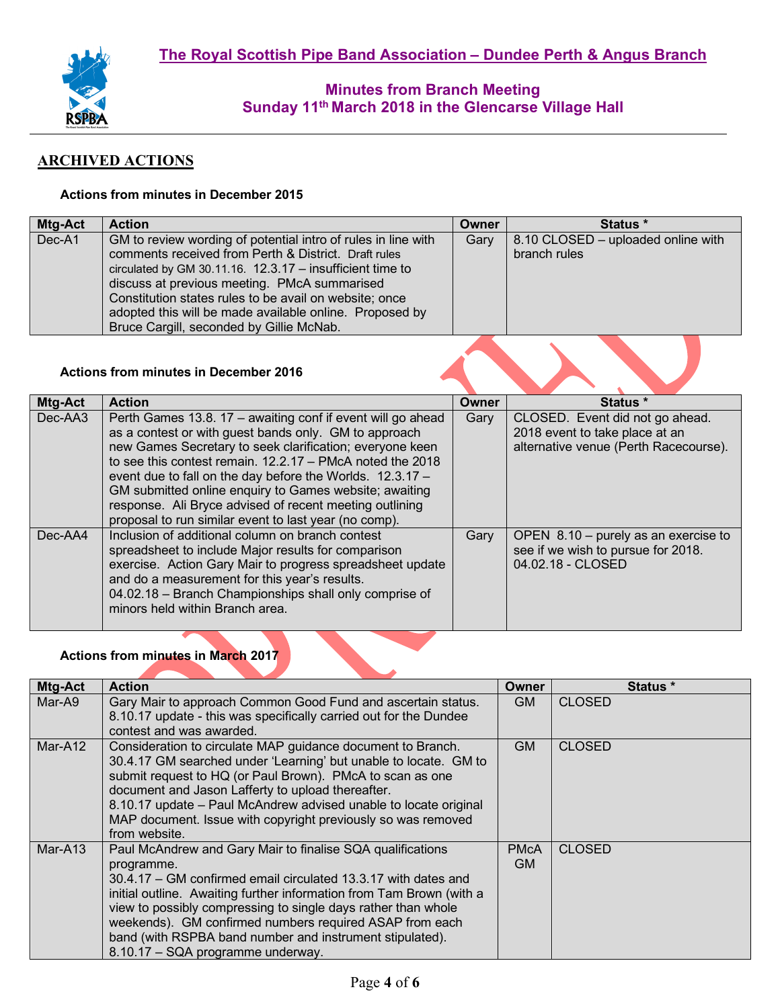

# **ARCHIVED ACTIONS**

### **Actions from minutes in December 2015**

| Mtg-Act | <b>Action</b>                                                                                                                                                                                                                                                                                                                                                                                         | <b>Owner</b> | Status *                                           |
|---------|-------------------------------------------------------------------------------------------------------------------------------------------------------------------------------------------------------------------------------------------------------------------------------------------------------------------------------------------------------------------------------------------------------|--------------|----------------------------------------------------|
| Dec-A1  | GM to review wording of potential intro of rules in line with<br>comments received from Perth & District. Draft rules<br>circulated by GM 30.11.16. $12.3.17 -$ insufficient time to<br>discuss at previous meeting. PMcA summarised<br>Constitution states rules to be avail on website; once<br>adopted this will be made available online. Proposed by<br>Bruce Cargill, seconded by Gillie McNab. | Gary         | 8.10 CLOSED - uploaded online with<br>branch rules |
|         | <b>Actions from minutes in December 2016</b>                                                                                                                                                                                                                                                                                                                                                          |              |                                                    |

| Mtg-Act | <b>Action</b>                                               | Owner | Status *                              |
|---------|-------------------------------------------------------------|-------|---------------------------------------|
| Dec-AA3 | Perth Games 13.8. 17 - awaiting conf if event will go ahead | Gary  | CLOSED. Event did not go ahead.       |
|         | as a contest or with guest bands only. GM to approach       |       | 2018 event to take place at an        |
|         | new Games Secretary to seek clarification; everyone keen    |       | alternative venue (Perth Racecourse). |
|         | to see this contest remain, $12.2.17 - PMcA$ noted the 2018 |       |                                       |
|         | event due to fall on the day before the Worlds. 12.3.17 -   |       |                                       |
|         | GM submitted online enquiry to Games website; awaiting      |       |                                       |
|         | response. Ali Bryce advised of recent meeting outlining     |       |                                       |
|         | proposal to run similar event to last year (no comp).       |       |                                       |
| Dec-AA4 | Inclusion of additional column on branch contest            | Gary  | OPEN 8.10 - purely as an exercise to  |
|         | spreadsheet to include Major results for comparison         |       | see if we wish to pursue for 2018.    |
|         | exercise. Action Gary Mair to progress spreadsheet update   |       | 04.02.18 - CLOSED                     |
|         | and do a measurement for this year's results.               |       |                                       |
|         | 04.02.18 - Branch Championships shall only comprise of      |       |                                       |
|         | minors held within Branch area.                             |       |                                       |
|         |                                                             |       |                                       |

# **Actions from minutes in March 2017**

| <b>Mtg-Act</b> | <b>Action</b>                                                                                                                                                                                                                                                                                                                                                                                                                                   | Owner             | <b>Status</b> * |
|----------------|-------------------------------------------------------------------------------------------------------------------------------------------------------------------------------------------------------------------------------------------------------------------------------------------------------------------------------------------------------------------------------------------------------------------------------------------------|-------------------|-----------------|
| Mar-A9         | Gary Mair to approach Common Good Fund and ascertain status.<br>8.10.17 update - this was specifically carried out for the Dundee<br>contest and was awarded.                                                                                                                                                                                                                                                                                   | GM                | <b>CLOSED</b>   |
| Mar-A12        | Consideration to circulate MAP guidance document to Branch.<br>30.4.17 GM searched under 'Learning' but unable to locate. GM to<br>submit request to HQ (or Paul Brown). PMcA to scan as one<br>document and Jason Lafferty to upload thereafter.<br>8.10.17 update – Paul McAndrew advised unable to locate original<br>MAP document. Issue with copyright previously so was removed<br>from website.                                          | GM.               | <b>CLOSED</b>   |
| Mar-A13        | Paul McAndrew and Gary Mair to finalise SQA qualifications<br>programme.<br>30.4.17 – GM confirmed email circulated 13.3.17 with dates and<br>initial outline. Awaiting further information from Tam Brown (with a<br>view to possibly compressing to single days rather than whole<br>weekends). GM confirmed numbers required ASAP from each<br>band (with RSPBA band number and instrument stipulated).<br>8.10.17 - SQA programme underway. | <b>PMcA</b><br>GM | <b>CLOSED</b>   |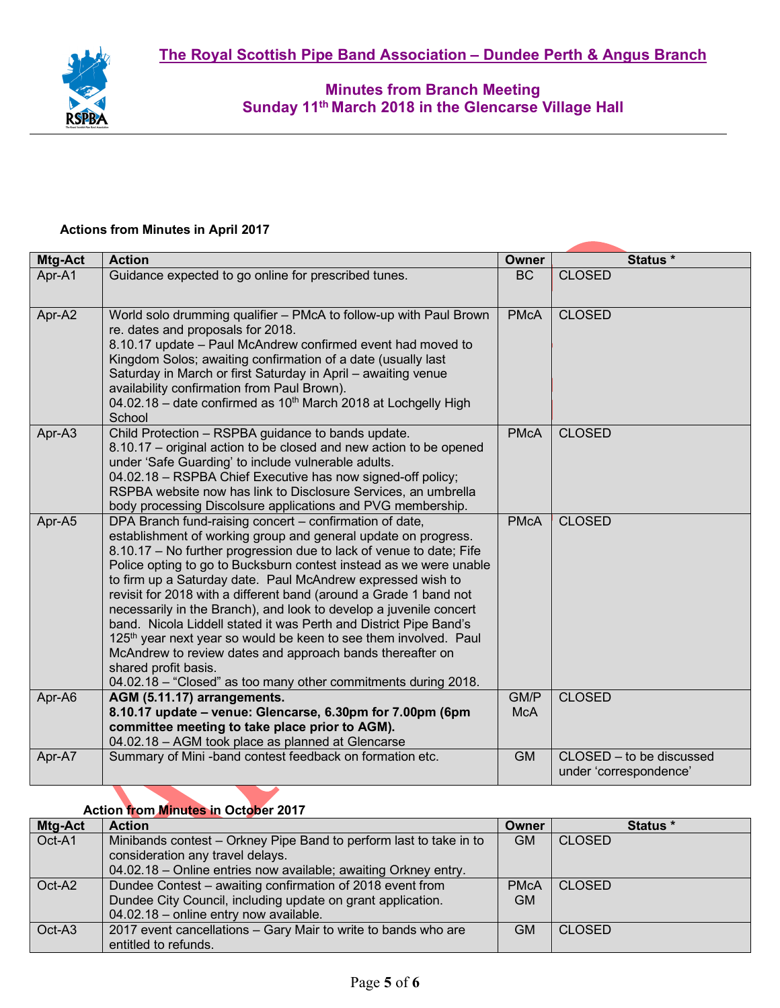

#### **Actions from Minutes in April 2017**

| Mtg-Act | <b>Action</b>                                                                                                                                                                                                                                                                                                                                                                                                                                                                                                                                                                                                                                                                                                                                                                    | Owner              | Status *                                           |
|---------|----------------------------------------------------------------------------------------------------------------------------------------------------------------------------------------------------------------------------------------------------------------------------------------------------------------------------------------------------------------------------------------------------------------------------------------------------------------------------------------------------------------------------------------------------------------------------------------------------------------------------------------------------------------------------------------------------------------------------------------------------------------------------------|--------------------|----------------------------------------------------|
| Apr-A1  | Guidance expected to go online for prescribed tunes.                                                                                                                                                                                                                                                                                                                                                                                                                                                                                                                                                                                                                                                                                                                             | <b>BC</b>          | <b>CLOSED</b>                                      |
| Apr-A2  | World solo drumming qualifier - PMcA to follow-up with Paul Brown<br>re. dates and proposals for 2018.<br>8.10.17 update - Paul McAndrew confirmed event had moved to<br>Kingdom Solos; awaiting confirmation of a date (usually last<br>Saturday in March or first Saturday in April - awaiting venue<br>availability confirmation from Paul Brown).<br>04.02.18 - date confirmed as 10 <sup>th</sup> March 2018 at Lochgelly High<br>School                                                                                                                                                                                                                                                                                                                                    | <b>PMcA</b>        | <b>CLOSED</b>                                      |
| Apr-A3  | Child Protection - RSPBA guidance to bands update.<br>8.10.17 – original action to be closed and new action to be opened<br>under 'Safe Guarding' to include vulnerable adults.<br>04.02.18 - RSPBA Chief Executive has now signed-off policy;<br>RSPBA website now has link to Disclosure Services, an umbrella<br>body processing Discolsure applications and PVG membership.                                                                                                                                                                                                                                                                                                                                                                                                  | <b>PMcA</b>        | <b>CLOSED</b>                                      |
| Apr-A5  | DPA Branch fund-raising concert - confirmation of date,<br>establishment of working group and general update on progress.<br>8.10.17 - No further progression due to lack of venue to date; Fife<br>Police opting to go to Bucksburn contest instead as we were unable<br>to firm up a Saturday date. Paul McAndrew expressed wish to<br>revisit for 2018 with a different band (around a Grade 1 band not<br>necessarily in the Branch), and look to develop a juvenile concert<br>band. Nicola Liddell stated it was Perth and District Pipe Band's<br>125th year next year so would be keen to see them involved. Paul<br>McAndrew to review dates and approach bands thereafter on<br>shared profit basis.<br>04.02.18 - "Closed" as too many other commitments during 2018. | <b>PMcA</b>        | <b>CLOSED</b>                                      |
| Apr-A6  | AGM (5.11.17) arrangements.<br>8.10.17 update – venue: Glencarse, 6.30pm for 7.00pm (6pm<br>committee meeting to take place prior to AGM).<br>04.02.18 - AGM took place as planned at Glencarse                                                                                                                                                                                                                                                                                                                                                                                                                                                                                                                                                                                  | GM/P<br><b>McA</b> | <b>CLOSED</b>                                      |
| Apr-A7  | Summary of Mini-band contest feedback on formation etc.                                                                                                                                                                                                                                                                                                                                                                                                                                                                                                                                                                                                                                                                                                                          | <b>GM</b>          | CLOSED - to be discussed<br>under 'correspondence' |

# **Action from Minutes in October 2017**

| Mtg-Act | <b>Action</b>                                                      | Owner       | Status *      |
|---------|--------------------------------------------------------------------|-------------|---------------|
| Oct-A1  | Minibands contest – Orkney Pipe Band to perform last to take in to | <b>GM</b>   | <b>CLOSED</b> |
|         | consideration any travel delays.                                   |             |               |
|         | 04.02.18 - Online entries now available; awaiting Orkney entry.    |             |               |
| Oct-A2  | Dundee Contest – awaiting confirmation of 2018 event from          | <b>PMcA</b> | <b>CLOSED</b> |
|         | Dundee City Council, including update on grant application.        | <b>GM</b>   |               |
|         | 04.02.18 - online entry now available.                             |             |               |
| Oct-A3  | 2017 event cancellations - Gary Mair to write to bands who are     | <b>GM</b>   | <b>CLOSED</b> |
|         | entitled to refunds.                                               |             |               |